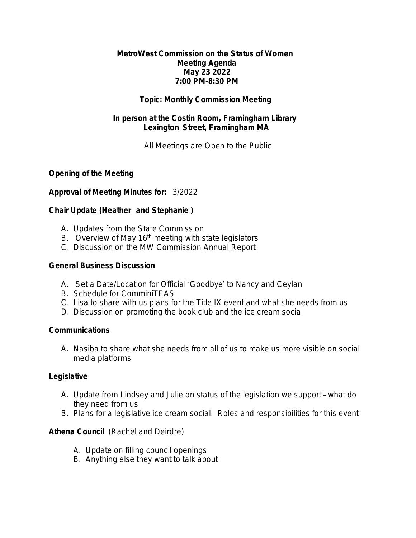#### **MetroWest Commission on the Status of Women Meeting Agenda May 23 2022 7:00 PM-8:30 PM**

## **Topic: Monthly Commission Meeting**

## **In person at the Costin Room, Framingham Library Lexington Street, Framingham MA**

*All Meetings are Open to the Public*

## **Opening of the Meeting**

## **Approval of Meeting Minutes for:** 3/2022

## **Chair Update (Heather and Stephanie )**

- A. Updates from the State Commission
- B. Overview of May 16<sup>th</sup> meeting with state legislators
- C. Discussion on the MW Commission Annual Report

## **General Business Discussion**

- A. Set a Date/Location for Official 'Goodbye' to Nancy and Ceylan
- B. Schedule for ComminiTEAS
- C. Lisa to share with us plans for the Title IX event and what she needs from us
- D. Discussion on promoting the book club and the ice cream social

#### **Communications**

A. Nasiba to share what she needs from all of us to make us more visible on social media platforms

#### **Legislative**

- A. Update from Lindsey and Julie on status of the legislation we support what do they need from us
- B. Plans for a legislative ice cream social. Roles and responsibilities for this event

# **Athena Council** (Rachel and Deirdre)

- A. Update on filling council openings
- B. Anything else they want to talk about